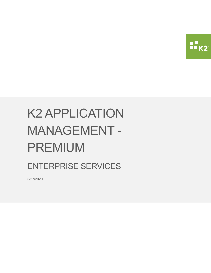

# K2 APPLICATION MANAGEMENT - PREMIUM

ENTERPRISE SERVICES

3/27/2020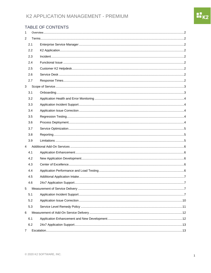## K2 APPLICATION MANAGEMENT - PREMIUM

#### TABLE OF CONTENTS

| 1              |     |  |
|----------------|-----|--|
| $\overline{2}$ |     |  |
|                | 2.1 |  |
|                | 2.2 |  |
|                | 2.3 |  |
|                | 2.4 |  |
|                | 2.5 |  |
|                | 2.6 |  |
|                | 2.7 |  |
| 3              |     |  |
|                | 3.1 |  |
|                | 3.2 |  |
|                | 3.3 |  |
|                | 3.4 |  |
|                | 3.5 |  |
|                | 3.6 |  |
|                | 3.7 |  |
|                | 3.8 |  |
|                | 3.9 |  |
| $\overline{4}$ |     |  |
|                | 4.1 |  |
|                | 4.2 |  |
|                | 4.3 |  |
|                | 4.4 |  |
|                | 4.5 |  |
|                | 4.6 |  |
| 5              |     |  |
|                | 5.1 |  |
|                | 5.2 |  |
|                | 5.3 |  |
| 6              |     |  |
|                | 6.1 |  |
|                | 6.2 |  |
| 7              |     |  |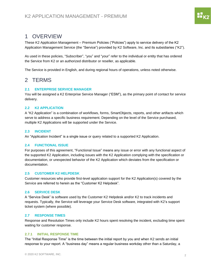# <span id="page-2-0"></span>1 OVERVIEW

These K2 Application Management – Premium Policies ("Policies") apply to service delivery of the K2 Application Management Service (the "Service") provided by K2 Software, Inc. and its subsidiaries ("K2").

As used in these policies, "Subscriber", "you" and "your" refer to the individual or entity that has ordered the Service from K2 or an authorized distributor or reseller, as applicable.

The Service is provided in English, and during regional hours of operations, unless noted otherwise.

# <span id="page-2-1"></span>2 TERMS

#### <span id="page-2-2"></span>**2.1 ENTERPRISE SERVICE MANAGER**

You will be assigned a K2 Enterprise Service Manager ("ESM"), as the primary point of contact for service delivery.

#### <span id="page-2-3"></span>**2.2 K2 APPLICATION**

A "K2 Application" is a combination of workflows, forms, SmartObjects, reports, and other artifacts which serve to address a specific business requirement. Depending on the level of the Service purchased, multiple K2 Applications will be supported under the Service.

#### <span id="page-2-4"></span>**2.3 INCIDENT**

An "Application Incident" is a single issue or query related to a supported K2 Application.

#### <span id="page-2-5"></span>**2.4 FUNCTIONAL ISSUE**

For purposes of this agreement, "Functional Issue" means any issue or error with any functional aspect of the supported K2 Application, including issues with the K2 Application complying with the specification or documentation, or unexpected behavior of the K2 Application which deviates from the specification or documentation.

#### <span id="page-2-6"></span>**2.5 CUSTOMER K2 HELPDESK**

Customer resources who provide first-level application support for the K2 Application(s) covered by the Service are referred to herein as the "Customer K2 Helpdesk".

#### <span id="page-2-7"></span>**2.6 SERVICE DESK**

A "Service Desk" is software used by the Customer K2 Helpdesk and/or K2 to track incidents and requests. Typically, the Service will leverage your Service Desk software, integrated with K2's support ticket system (where possible).

#### <span id="page-2-8"></span>**2.7 RESPONSE TIMES**

Response and Resolution Times only include K2 hours spent resolving the incident, excluding time spent waiting for customer response.

#### **2.7.1 INITIAL RESPONSE TIME**

The "Initial Response Time" is the time between the initial report by you and when K2 sends an initial response to your report. A "business day" means a regular business workday other than a Saturday, a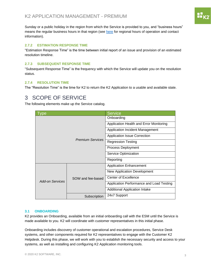88<br>88 K

Sunday or a public holiday in the region from which the Service is provided to you, and "business hours" means the regular business hours in that region (see [here](https://www.k2.com/support-services/support/contact-support) for regional hours of operation and contact information).

#### **2.7.2 ESTIMATION RESPONSE TIME**

"Estimation Response Time" is the time between initial report of an issue and provision of an estimated resolution timeline.

#### **2.7.3 SUBSEQUENT RESPONSE TIME**

"Subsequent Response Time" is the frequency with which the Service will update you on the resolution status.

#### **2.7.4 RESOLUTION TIME**

The "Resolution Time" is the time for K2 to return the K2 Application to a usable and available state.

# <span id="page-3-0"></span>3 SCOPE OF SERVICE

The following elements make up the Service catalog.

| /pe                     |                   | <b>Service</b>                           |
|-------------------------|-------------------|------------------------------------------|
| <b>Premium Services</b> |                   | Onboarding                               |
|                         |                   | Application Health and Error Monitoring  |
|                         |                   | <b>Application Incident Management</b>   |
|                         |                   | <b>Application Issue Correction</b>      |
|                         |                   | <b>Regression Testing</b>                |
|                         |                   | Process Deployment                       |
|                         |                   | Service Optimization                     |
|                         |                   | Reporting                                |
|                         | SOW and fee-based | Application Enhancement                  |
|                         |                   | <b>New Application Development</b>       |
|                         |                   | <b>Center of Excellence</b>              |
| <b>Add-on Services</b>  |                   | Application Performance and Load Testing |
|                         |                   | <b>Additional Application Intake</b>     |
|                         | Subscription      | 24x7 Support                             |

#### <span id="page-3-1"></span>**3.1 ONBOARDING**

K2 provides an Onboarding, available from an initial onboarding call with the ESM until the Service is made available to you. K2 will coordinate with customer representatives in this initial phase.

Onboarding includes discovery of customer operational and escalation procedures, Service Desk systems, and other components required for K2 representatives to engage with the Customer K2 Helpdesk. During this phase, we will work with you to establish the necessary security and access to your systems, as well as installing and configuring K2 Application monitoring tools.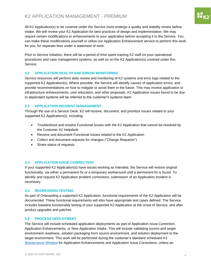nu<br>Hoka

All K2 Application(s) to be covered under the Service must undergo a quality and stability review before intake. We will review your K2 Application for best practices of design and implementation. We may require certain modifications or enhancements to your application before accepting it to the Service. You can make these modifications yourself or utilize our Application Enhancement service to perform this work for you, for separate fees under a statement of work.

Prior to Service initiation, there will be a period of time spent training K2 staff on your operational procedures and case management systems, as well as on the K2 Application(s) covered under this Service.

#### <span id="page-4-0"></span>**3.2 APPLICATION HEALTH AND ERROR MONITORING**

Service resources will perform daily review and monitoring of K2 systems and error logs related to the supported K2 Application(s). Where possible, the Service will identify causes of application errors, and provide recommendations on how to mitigate or avoid them in the future. This may involve application or infrastructure enhancements, user education, and other proposals. K2 Application issues found to be due to dependent systems will be referred to the customer's systems team.

#### <span id="page-4-1"></span>**3.3 APPLICATION INCIDENT MANAGEMENT**

Through the use of a Service Desk, K2 will receive, document, and prioritize issues related to your supported K2 Application(s), including:

- Troubleshoot and resolve Functional Issues with the K2 Application that cannot be resolved by the Customer K2 Helpdesk
- Receive and document Functional Issues related to the K2 Application
- Collect and document requests for changes ("Change Requests")
- Share status of requests

#### <span id="page-4-2"></span>**3.4 APPLICATION ISSUE CORRECTION**

If your supported K2 Application(s) have issues working as intended, the Service will restore original functionality, via either a permanent fix or a temporary workaround until a permanent fix is found. To identify and request K2 Application problem corrections, submission of an Application Incident is necessary.

#### <span id="page-4-3"></span>**3.5 REGRESSION TESTING**

As part of Onboarding a supported K2 Application, functional requirements of the K2 Application will be documented. These functional requirements will also have appropriate test cases defined. The Service includes baseline functionality testing of your supported K2 Application at the onset of Service, and after product upgrades and patches.

#### <span id="page-4-4"></span>**3.6 PROCESS DEPLOYMENT**

The Service will include scheduled application deployments as part of Application Issue Correction, Application Enhancements, or New Application Intake. This will include validating source and target environment readiness, solution packaging from source environment, and solution deployment to the target environment. This work will be performed during the customer's standard scheduled K2 [Maintenance Window](#page-8-0) for Application Enhancements and Application Issue Corrections, unless an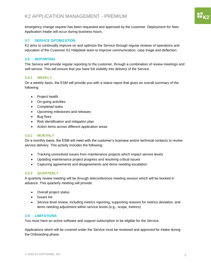emergency change request has been requested and approved by the customer. Deployment for New Application Intake will occur during business hours.

#### <span id="page-5-0"></span>**3.7 SERVICE OPTIMIZATION**

K2 aims to continually improve on and optimize the Service through regular reviews of operations and education of the Customer K2 Helpdesk team to improve communication, case triage and deflection.

#### <span id="page-5-1"></span>**3.8 REPORTING**

The Service will provide regular reporting to the customer, through a combination of review meetings and self-service. This will ensure that you have full visibility into delivery of the Service.

#### **3.8.1 WEEKLY**

On a weekly basis, the ESM will provide you with a status report that gives an overall summary of the following:

- Project health
- On-going activities
- Completed tasks
- Upcoming milestones and releases
- Bug fixes
- Risk identification and mitigation plan
- Action items across different application areas

#### **3.8.2 MONTHLY**

On a monthly basis, the ESM will meet with the customer's business and/or technical contacts to review service delivery. This activity includes the following:

- Tracking unresolved issues from maintenance projects which impact service levels
- Updating maintenance project progress and resolving critical issues
- Capturing agreements and disagreements and items needing escalation

#### **3.8.3 QUARTERLY**

A quarterly review meeting will be through teleconference meeting session which will be booked in advance. This quarterly meeting will provide:

- Overall project status
- Issues list
- Service level review, including metrics reporting, supporting reasons for metrics deviation, and items needing adjustment within service levels (e.g., scope, metrics)

#### <span id="page-5-2"></span>**3.9 LIMITATIONS**

You must have an active software and support subscription to be eligible for the Service.

Applications which will be covered under the Service must be reviewed and approved for intake during the Onboarding phase.

nu<br>Hiko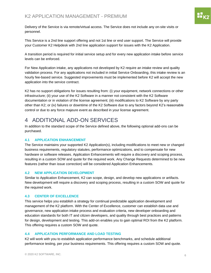Delivery of the Service is via remote/virtual access. The Service does not include any on-site visits or personnel.

This Service is a 2nd line support offering and not 1st line or end user support. The Service will provide your Customer K2 Helpdesk with 2nd line application support for issues with the K2 Application.

A transition period is required for initial service setup and for every new application intake before service levels can be enforced.

For New Application intake, any applications not developed by K2 require an intake review and quality validation process. For any applications not included in initial Service Onboarding, this intake review is an hourly fee-based service. Suggested improvements must be implemented before K2 will accept the new application into the service contract.

K2 has no support obligations for issues resulting from: (i) your equipment, network connections or other infrastructure; (ii) your use of the K2 Software in a manner not consistent with the K2 Software documentation or in violation of the license agreement; (iii) modifications to K2 Software by any party other than K2; or (iv) failures or downtime of the K2 Software due to any factors beyond K2's reasonable control or due to any force majeure event as described in your license agreement.

# <span id="page-6-0"></span>4 ADDITIONAL ADD-ON SERVICES

In addition to the standard scope of the Service defined above, the following optional add-ons can be purchased.

#### <span id="page-6-1"></span>**4.1 APPLICATION ENHANCEMENT**

The Service maintains your supported K2 Application(s), including modifications to meet new or changed business requirements, regulatory statutes, performance optimizations, and to compensate for new hardware or software releases. Application Enhancements will require a discovery and scoping process, resulting in a custom SOW and quote for the required work. Any Change Requests determined to be new features (rather than issue correction) will be considered Application Enhancements.

#### <span id="page-6-2"></span>**4.2 NEW APPLICATION DEVELOPMENT**

Similar to Application Enhancement, K2 can scope, design, and develop new applications or artifacts. New development will require a discovery and scoping process, resulting in a custom SOW and quote for the required work.

#### <span id="page-6-3"></span>**4.3 CENTER OF EXCELLENCE**

This service helps you establish a strategy for continual predictable application development and management of the K2 platform. With the Center of Excellence, customer can establish data use and governance, new application intake process and evaluation criteria, new developer onboarding and education standards for both IT and citizen developers, and quality through best practices and patterns for design, development and testing. This add-on enables you to gain optimal ROI from the K2 platform. This offering requires a custom SOW and quote.

#### <span id="page-6-4"></span>**4.4 APPLICATION PERFORMANCE AND LOAD TESTING**

K2 will work with you to establish application performance benchmarks, and schedule additional performance testing, per your business requirements. This offering requires a custom SOW and quote.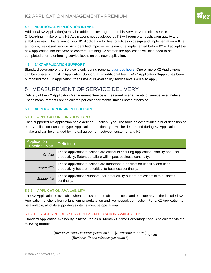# $\mathbf{H}_{\mathsf{K2}}$

#### <span id="page-7-0"></span>**4.5 ADDITIONAL APPLICATION INTAKE**

Additional K2 Application(s) may be added to coverage under this Service. After initial service Onboarding, intake of any K2 Applications not developed by K2 will require an application quality and stability review. This review of your K2 Application for best practices in design and implementation will be an hourly, fee-based service. Any identified improvements must be implemented before K2 will accept the new application into the Service contract. Training K2 staff on the application will also need to be completed prior to enforcing service levels on this new application.

#### <span id="page-7-1"></span>**4.6 24X7 APPLICATION SUPPORT**

Standard coverage of the Service is only during regional [business hours.](https://www.k2.com/support-services/support/contact-support) One or more K2 Applications can be covered with 24x7 Application Support, at an additional fee. If 24x7 Application Support has been purchased for a K2 Application, then Off-Hours Availability service levels will also apply.

# <span id="page-7-2"></span>5 MEASUREMENT OF SERVICE DELIVERY

Delivery of the K2 Application Management Service is measured over a variety of service level metrics. These measurements are calculated per calendar month, unless noted otherwise.

#### <span id="page-7-4"></span><span id="page-7-3"></span>**5.1 APPLICATION INCIDENT SUPPORT**

#### **5.1.1 APPLICATION FUNCTION TYPES**

Each supported K2 Application has a defined Function Type. The table below provides a brief definition of each Application Function Type. Application Function Type will be determined during K2 Application intake and can be changed by mutual agreement between customer and K2.

| Application<br>Function Type | <b>Definition</b>                                                                                                                                   |
|------------------------------|-----------------------------------------------------------------------------------------------------------------------------------------------------|
| Critical                     | These application functions are critical to ensuring application usability and user productivity. Extended failure will impact business continuity. |
| <i>Important</i>             | These application functions are important to application usability and user<br>productivity but are not critical to business continuity.            |
| Supportive                   | These applications support user productivity but are not essential to business<br>continuity.                                                       |

#### **5.1.2 APPLICATION AVAILABILITY**

The K2 Application is available when the customer is able to access and execute any of the included K2 Application functions from a functioning workstation and live network connection. For a K2 Application to be available, all of its supporting systems must be operational.

#### 5.1.2.1 STANDARD (BUSINESS HOURS) APPLICATION AVAILABILITY

Standard Application Availability is measured as a "Monthly Uptime Percentage" and is calculated via the following formula:

> $[Business \, Hours \, minutes \, per \, month] - [Downtime \, minutes] \times 100$ [Business Hours minutes per month]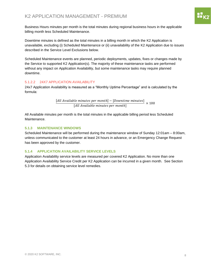Business Hours minutes per month is the total minutes during regional business hours in the applicable billing month less Scheduled Maintenance.

Downtime minutes is defined as the total minutes in a billing month in which the K2 Application is unavailable, excluding (i) Scheduled Maintenance or (ii) unavailability of the K2 Application due to issues described in the Service Level Exclusions below.

Scheduled Maintenance events are planned, periodic deployments, updates, fixes or changes made by the Service to supported K2 Application(s). The majority of these maintenance tasks are performed without any impact on Application Availability, but some maintenance tasks may require planned downtime.

#### <span id="page-8-1"></span>5.1.2.2 24X7 APPLICATION AVAILABILITY

24x7 Application Availability is measured as a "Monthly Uptime Percentage" and is calculated by the formula:

> [All Available minutes per month] – [Downtime minutes]  $\frac{[All \text{ Available minutes per month}]}{[All \text{ Available minutes per month}]} \times 100$

All Available minutes per month is the total minutes in the applicable billing period less Scheduled Maintenance.

#### <span id="page-8-0"></span>**5.1.3 MAINTENANCE WINDOWS**

Scheduled Maintenance will be performed during the maintenance window of Sunday 12:01am – 8:00am, unless communicated to the customer at least 24 hours in advance, or an Emergency Change Request has been approved by the customer.

#### **5.1.4 APPLICATION AVAILABILITY SERVICE LEVELS**

Application Availability service levels are measured per covered K2 Application. No more than one Application Availability Service Credit per K2 Application can be incurred in a given month. See Section 5.3 for details on obtaining service level remedies.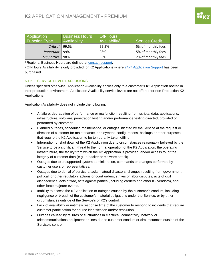| Application<br><b>Function Type</b> | Business Hours <sup>1</sup><br><b>Availability</b> | Off-Hours<br>Availability <sup>2</sup> | <b>Service Credit</b> |
|-------------------------------------|----------------------------------------------------|----------------------------------------|-----------------------|
| Critical                            | 99.5%                                              | 99.5%                                  | 5% of monthly fees    |
| Important                           | 99%                                                | 98%                                    | 5% of monthly fees    |
| Supportive                          | 98%                                                | 98%                                    | 2% of monthly fees    |

<sup>1</sup> Regional Business Hours are defined at [contact-support.](https://www.k2.com/support-services/support/contact-support)

<sup>2</sup> Off-Hours Availability is only provided for K2 Applications where [24x7 Application Support](#page-7-1) has been purchased.

#### **5.1.5 SERVICE LEVEL EXCLUSIONS**

Unless specified otherwise, Application Availability applies only to a customer's K2 Application hosted in their production environment. Application Availability service levels are not offered for non-Production K2 Applications.

Application Availability does not include the following:

- A failure, degradation of performance or malfunction resulting from scripts, data, applications, infrastructure, software, penetration testing and/or performance testing directed, provided or performed by customer.
- Planned outages, scheduled maintenance, or outages initiated by the Service at the request or direction of customer for maintenance, deployment, configurations, backups or other purposes that require the K2 Application to be temporarily taken offline.
- Interruption or shut down of the K2 Application due to circumstances reasonably believed by the Service to be a significant threat to the normal operation of the K2 Application, the operating infrastructure, the facility from which the K2 Application is provided, and/or access to, or the integrity of customer data (e.g., a hacker or malware attack).
- Outages due to unsupported system administration, commands or changes performed by customer users or representatives.
- Outages due to denial of service attacks, natural disasters, changes resulting from government, political, or other regulatory actions or court orders, strikes or labor disputes, acts of civil disobedience, acts of war, acts against parties (including carriers and other K2 vendors), and other force majeure events.
- Inability to access the K2 Application or outages caused by the customer's conduct, including negligence or breach of the customer's material obligations under the Service, or by other circumstances outside of the Service's or K2's control.
- Lack of availability or untimely response time of the customer to respond to incidents that require customer participation for source identification and/or resolution.
- Outages caused by failures or fluctuations in electrical, connectivity, network or telecommunications equipment or lines due to customer conduct or circumstances outside of the Service's control.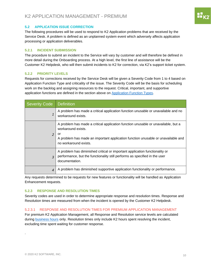#### <span id="page-10-0"></span>**5.2 APPLICATION ISSUE CORRECTION**

The following procedures will be used to respond to K2 Application problems that are received by the Service Desk. A problem is defined as an unplanned system event which adversely affects application processing or application deliverables.

#### **5.2.1 INCIDENT SUBMISSION**

The procedure to submit an incident to the Service will vary by customer and will therefore be defined in more detail during the Onboarding process. At a high level, the first line of assistance will be the Customer K2 Helpdesk, who will then submit incidents to K2 for correction, via K2's support ticket system.

#### **5.2.2 PRIORITY LEVELS**

Requests for corrections received by the Service Desk will be given a Severity Code from 1 to 4 based on Application Function Type and criticality of the issue. The Severity Code will be the basis for scheduling work on the backlog and assigning resources to the request. Critical, important, and supportive application functions are defined in the section above on [Application Function Types.](#page-7-4)

| Severity Code            | <b>Definition</b>                                                                                                                                                                                                          |
|--------------------------|----------------------------------------------------------------------------------------------------------------------------------------------------------------------------------------------------------------------------|
| 1                        | A problem has made a critical application function unusable or unavailable and no<br>workaround exists.                                                                                                                    |
| $\overline{\phantom{a}}$ | A problem has made a critical application function unusable or unavailable, but a<br>workaround exists.<br>or<br>A problem has made an important application function unusable or unavailable and<br>no workaround exists. |
| $\overline{z}$           | A problem has diminished critical or important application functionality or<br>performance, but the functionality still performs as specified in the user<br>documentation.                                                |
| $\overline{4}$           | A problem has diminished supportive application functionality or performance.                                                                                                                                              |

Any requests determined to be requests for new features or functionality will be handled as Application Enhancement requests.

#### **5.2.3 RESPONSE AND RESOLUTION TIMES**

Severity codes are used in order to determine appropriate response and resolution times. Response and Resolution times are measured from when the incident is opened by the Customer K2 Helpdesk.

#### 5.2.3.1 RESPONSE AND RESOLUTION TIMES FOR PREMIUM APPLICATION MANAGEMENT

For premium K2 Application Management, all Response and Resolution service levels are calculated during [business hours](https://www.k2.com/support-services/support/contact-support) only. Resolution times only include K2 hours spent resolving the incident, excluding time spent waiting for customer response.

.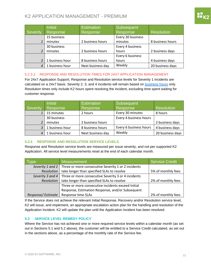### K2 APPLICATION MANAGEMENT - PREMIUM

|                          | <b>Initial</b>  | <b>Estimation</b> | Subsequent        |                   |
|--------------------------|-----------------|-------------------|-------------------|-------------------|
| Severity                 | Response        | Response          | Response          | <b>Resolution</b> |
|                          | 15 business     |                   | Every 30 business |                   |
| $\mathbf{1}$             | minutes         | 2 business hours  | minutes           | 8 business hours  |
|                          | 30 business     |                   | Every 4 business  |                   |
| $\overline{\mathcal{L}}$ | minutes         | 2 business hours  | hours             | 2 business days   |
|                          |                 |                   | Every 6 business  |                   |
| 3                        | 1 business hour | 8 business hours  | hours             | 4 business days   |
| $\overline{4}$           | 1 business hour | Next business day | Weekly            | 20 business days  |

#### <span id="page-11-1"></span>5.2.3.2 RESPONSE AND RESOLUTION TIMES FOR 24X7 APPLICATION MANAGEMENT

For 24x7 Application Support, Response and Resolution service levels for Severity 1 incidents are calculated on a 24x7 basis. Severity 2, 3, and 4 incidents will remain based on [business hours](https://www.k2.com/support-services/support/contact-support) only. Resolution times only include K2 hours spent resolving the incident, excluding time spent waiting for customer response.

|          | <b>Initial</b>  | <b>Estimation</b> | Subsequent             |                   |
|----------|-----------------|-------------------|------------------------|-------------------|
| Severity | Response        | Response          | Response               | <b>Resolution</b> |
|          | 15 minutes      | 2 hours           | Every 30 minutes       | 8 hours           |
|          | 30 business     |                   | Every 4 business hours |                   |
|          | minutes         | 2 business hours  |                        | 2 business days   |
|          | 1 business hour | 8 business hours  | Every 6 business hours | 4 business days   |
|          | 1 business hour | Next business day | Weekly                 | 20 business days  |

#### **5.2.4 RESPONSE AND RESOLUTION SERVICE LEVELS**

Response and Resolution service levels are measured per issue severity, and not per supported K2 Application. All service level measurements reset at the end of each calendar month.

| vne                                                                     | <b>Measurement</b>                                                     | Service Credit     |
|-------------------------------------------------------------------------|------------------------------------------------------------------------|--------------------|
|                                                                         | Severity 1 and 2   Three or more consecutive Severity 1 or 2 incidents |                    |
| Resolution                                                              | take longer than specified SLAs to resolve                             | 5% of monthly fees |
| Severity 3 and 4<br>Three or more consecutive Severity 3 or 4 incidents |                                                                        |                    |
| take longer than specified SLAs to resolve<br>Resolution                |                                                                        | 2% of monthly fees |
|                                                                         | Three or more consecutive incidents exceed Initial                     |                    |
|                                                                         | Response, Estimation Response, and/or Subsequent                       |                    |
| Response/Estimate                                                       | Response time SLAs                                                     | 2% of monthly fees |

If the Service does not achieve the relevant Initial Response, Recovery and/or Resolution service level, K2 will issue, and implement, an appropriate escalation action plan for the handling and resolution of the Application Incident. K2 will update the plan until the Application Incident has been resolved.

#### <span id="page-11-0"></span>**5.3 SERVICE LEVEL REMEDY POLICY**

Where the Service has not achieved one or more required service levels within a calendar month (as set out in Sections 5.1 and 5.2 above), the customer will be entitled to a Service Credit calculated, as set out in the sections above, as a percentage of the monthly rate of the Service fee.

н<br>11 кэ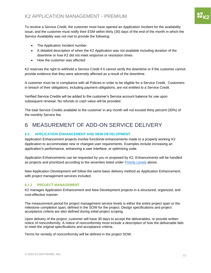To receive a Service Credit, the customer must have opened an Application Incident for the availability issue, and the customer must notify their ESM within thirty (30) days of the end of the month in which the Service Availability was not met to provide the following:

- The Application Incident number
- A detailed description of when the K2 Application was not available including duration of the downtime or how K2 did not meet response or resolution times
- How the customer was affected

K2 reserves the right to withhold a Service Credit if it cannot verify the downtime or if the customer cannot provide evidence that they were adversely affected as a result of the downtime.

A customer must be in compliance with all Policies in order to be eligible for a Service Credit. Customers in breach of their obligations, including payment obligations, are not entitled to a Service Credit.

Verified Service Credits will be added to the customer's Service account balance for use upon subsequent renewal. No refunds or cash value will be provided.

The total Service Credits available to the customer in any month will not exceed thirty percent (30%) of the monthly Service fee.

# <span id="page-12-0"></span>6 MEASUREMENT OF ADD-ON SERVICE DELIVERY

#### <span id="page-12-1"></span>**6.1 APPLICATION ENHANCEMENT AND NEW DEVELOPMENT**

Application Enhancement projects involve functional enhancements made to a properly working K2 Application to accommodate new or changed user requirements. Examples include increasing an application's performance, enhancing a user interface, or optimizing code.

Application Enhancements can be requested by you or proposed by K2. Enhancements will be handled as projects and prioritized according to the severities listed under Priority Levels above.

New Application Development will follow the same basic delivery method as Application Enhancement, with project management services included.

#### **6.1.1 PROJECT MANAGEMENT**

K2 manages Application Enhancement and New Development projects in a structured, organized, and cost-effective manner.

The measurement period for project management service levels is either the entire project span or the milestone completion span, defined in the SOW for the project. Design specifications and project acceptance criteria are also defined during initial project scoping.

Upon delivery of the project, customer will have 30 days to accept the deliverables, or provide written notice of nonconformity. A notice of nonconformity must include a description of how the deliverable fails to meet the original specifications and acceptance criteria.

Terms for remedy of nonconformity will be defined in the project SOW.

88<br>88 K 2